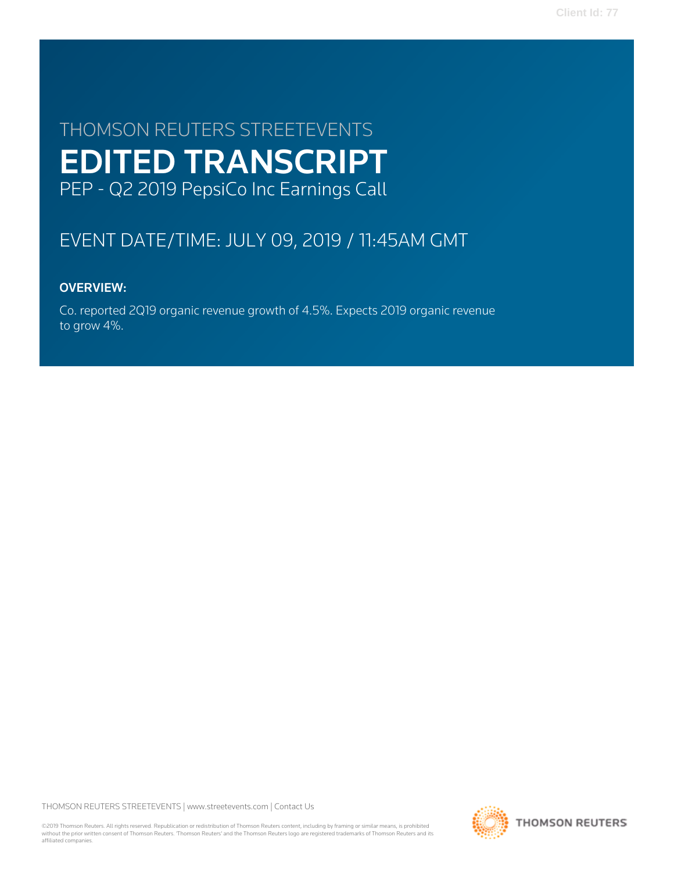# THOMSON REUTERS STREETEVENTS EDITED TRANSCRIPT PEP - Q2 2019 PepsiCo Inc Earnings Call

# EVENT DATE/TIME: JULY 09, 2019 / 11:45AM GMT

## OVERVIEW:

Co. reported 2Q19 organic revenue growth of 4.5%. Expects 2019 organic revenue to grow 4%.

THOMSON REUTERS STREETEVENTS | [www.streetevents.com](http://www.streetevents.com) | [Contact Us](http://www010.streetevents.com/contact.asp)

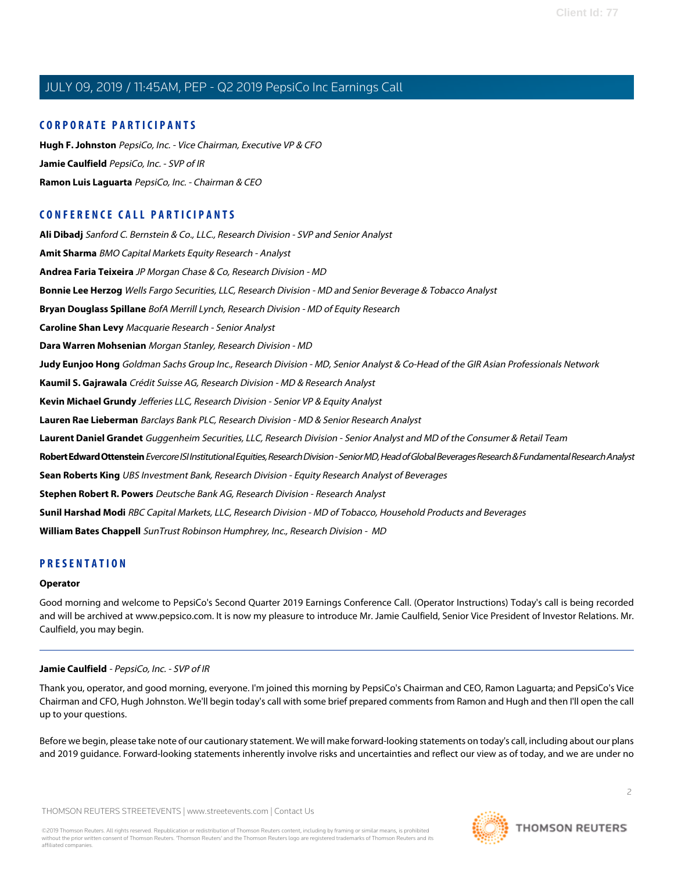#### **CORPORATE PARTICIPANTS**

**[Hugh F. Johnston](#page-3-0)** PepsiCo, Inc. - Vice Chairman, Executive VP & CFO **[Jamie Caulfield](#page-1-0)** PepsiCo, Inc. - SVP of IR **[Ramon Luis Laguarta](#page-2-0)** PepsiCo, Inc. - Chairman & CEO

## **CONFERENCE CALL PARTICIPANTS**

**[Ali Dibadj](#page-5-0)** Sanford C. Bernstein & Co., LLC., Research Division - SVP and Senior Analyst **[Amit Sharma](#page-15-0)** BMO Capital Markets Equity Research - Analyst **[Andrea Faria Teixeira](#page-8-0)** JP Morgan Chase & Co, Research Division - MD **[Bonnie Lee Herzog](#page-10-0)** Wells Fargo Securities, LLC, Research Division - MD and Senior Beverage & Tobacco Analyst **[Bryan Douglass Spillane](#page-3-1)** BofA Merrill Lynch, Research Division - MD of Equity Research **[Caroline Shan Levy](#page-13-0)** Macquarie Research - Senior Analyst **[Dara Warren Mohsenian](#page-4-0)** Morgan Stanley, Research Division - MD **[Judy Eunjoo Hong](#page-5-1)** Goldman Sachs Group Inc., Research Division - MD, Senior Analyst & Co-Head of the GIR Asian Professionals Network **[Kaumil S. Gajrawala](#page-9-0)** Crédit Suisse AG, Research Division - MD & Research Analyst **[Kevin Michael Grundy](#page-11-0)** Jefferies LLC, Research Division - Senior VP & Equity Analyst **[Lauren Rae Lieberman](#page-6-0)** Barclays Bank PLC, Research Division - MD & Senior Research Analyst **[Laurent Daniel Grandet](#page-13-1)** Guggenheim Securities, LLC, Research Division - Senior Analyst and MD of the Consumer & Retail Team **[Robert Edward Ottenstein](#page-12-0)** Evercore ISI Institutional Equities, Research Division - Senior MD, Head of Global Beverages Research & Fundamental Research Analyst **[Sean Roberts King](#page-15-1)** UBS Investment Bank, Research Division - Equity Research Analyst of Beverages **[Stephen Robert R. Powers](#page-7-0)** Deutsche Bank AG, Research Division - Research Analyst **[Sunil Harshad Modi](#page-9-1)** RBC Capital Markets, LLC, Research Division - MD of Tobacco, Household Products and Beverages **[William Bates Chappell](#page-14-0)** SunTrust Robinson Humphrey, Inc., Research Division - MD

### **PRESENTATION**

#### **Operator**

<span id="page-1-0"></span>Good morning and welcome to PepsiCo's Second Quarter 2019 Earnings Conference Call. (Operator Instructions) Today's call is being recorded and will be archived at www.pepsico.com. It is now my pleasure to introduce Mr. Jamie Caulfield, Senior Vice President of Investor Relations. Mr. Caulfield, you may begin.

#### **Jamie Caulfield** - PepsiCo, Inc. - SVP of IR

Thank you, operator, and good morning, everyone. I'm joined this morning by PepsiCo's Chairman and CEO, Ramon Laguarta; and PepsiCo's Vice Chairman and CFO, Hugh Johnston. We'll begin today's call with some brief prepared comments from Ramon and Hugh and then I'll open the call up to your questions.

Before we begin, please take note of our cautionary statement. We will make forward-looking statements on today's call, including about our plans and 2019 guidance. Forward-looking statements inherently involve risks and uncertainties and reflect our view as of today, and we are under no

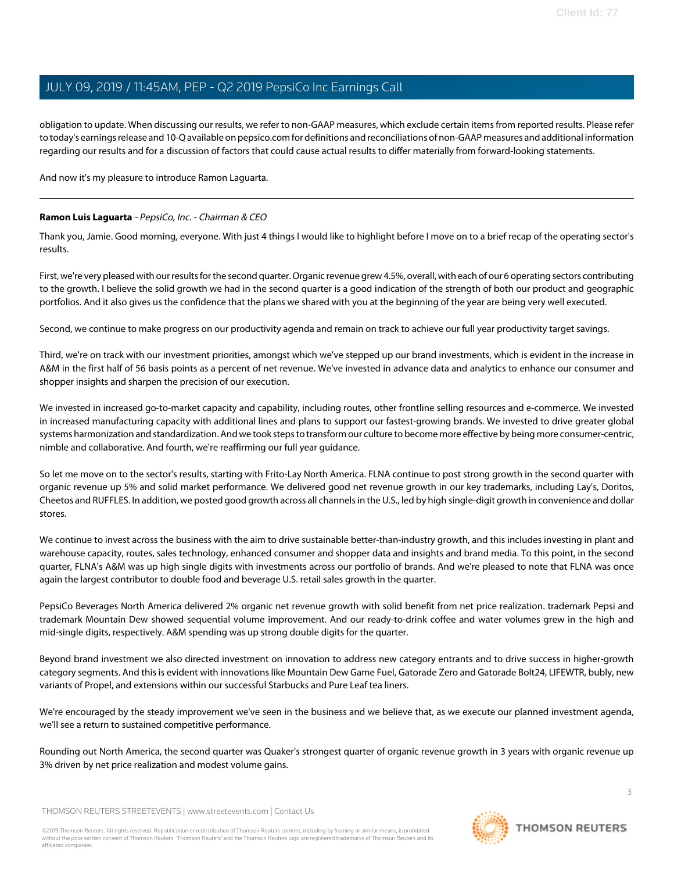obligation to update. When discussing our results, we refer to non-GAAP measures, which exclude certain items from reported results. Please refer to today's earnings release and 10-Q available on pepsico.com for definitions and reconciliations of non-GAAP measures and additional information regarding our results and for a discussion of factors that could cause actual results to differ materially from forward-looking statements.

<span id="page-2-0"></span>And now it's my pleasure to introduce Ramon Laguarta.

#### **Ramon Luis Laguarta** - PepsiCo, Inc. - Chairman & CEO

Thank you, Jamie. Good morning, everyone. With just 4 things I would like to highlight before I move on to a brief recap of the operating sector's results.

First, we're very pleased with our results for the second quarter. Organic revenue grew 4.5%, overall, with each of our 6 operating sectors contributing to the growth. I believe the solid growth we had in the second quarter is a good indication of the strength of both our product and geographic portfolios. And it also gives us the confidence that the plans we shared with you at the beginning of the year are being very well executed.

Second, we continue to make progress on our productivity agenda and remain on track to achieve our full year productivity target savings.

Third, we're on track with our investment priorities, amongst which we've stepped up our brand investments, which is evident in the increase in A&M in the first half of 56 basis points as a percent of net revenue. We've invested in advance data and analytics to enhance our consumer and shopper insights and sharpen the precision of our execution.

We invested in increased go-to-market capacity and capability, including routes, other frontline selling resources and e-commerce. We invested in increased manufacturing capacity with additional lines and plans to support our fastest-growing brands. We invested to drive greater global systems harmonization and standardization. And we took steps to transform our culture to become more effective by being more consumer-centric, nimble and collaborative. And fourth, we're reaffirming our full year guidance.

So let me move on to the sector's results, starting with Frito-Lay North America. FLNA continue to post strong growth in the second quarter with organic revenue up 5% and solid market performance. We delivered good net revenue growth in our key trademarks, including Lay's, Doritos, Cheetos and RUFFLES. In addition, we posted good growth across all channels in the U.S., led by high single-digit growth in convenience and dollar stores.

We continue to invest across the business with the aim to drive sustainable better-than-industry growth, and this includes investing in plant and warehouse capacity, routes, sales technology, enhanced consumer and shopper data and insights and brand media. To this point, in the second quarter, FLNA's A&M was up high single digits with investments across our portfolio of brands. And we're pleased to note that FLNA was once again the largest contributor to double food and beverage U.S. retail sales growth in the quarter.

PepsiCo Beverages North America delivered 2% organic net revenue growth with solid benefit from net price realization. trademark Pepsi and trademark Mountain Dew showed sequential volume improvement. And our ready-to-drink coffee and water volumes grew in the high and mid-single digits, respectively. A&M spending was up strong double digits for the quarter.

Beyond brand investment we also directed investment on innovation to address new category entrants and to drive success in higher-growth category segments. And this is evident with innovations like Mountain Dew Game Fuel, Gatorade Zero and Gatorade Bolt24, LIFEWTR, bubly, new variants of Propel, and extensions within our successful Starbucks and Pure Leaf tea liners.

We're encouraged by the steady improvement we've seen in the business and we believe that, as we execute our planned investment agenda, we'll see a return to sustained competitive performance.

Rounding out North America, the second quarter was Quaker's strongest quarter of organic revenue growth in 3 years with organic revenue up 3% driven by net price realization and modest volume gains.

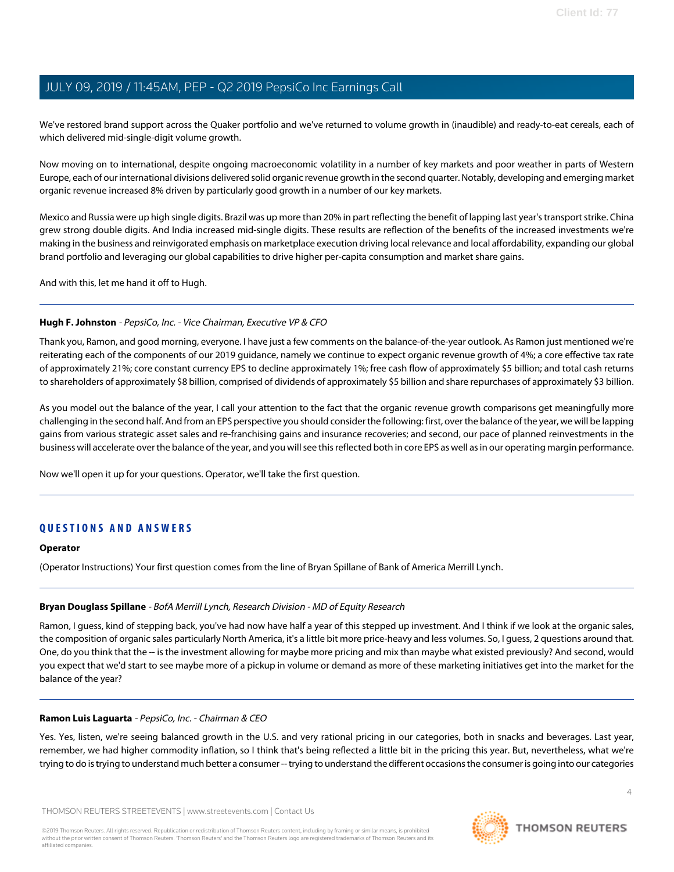We've restored brand support across the Quaker portfolio and we've returned to volume growth in (inaudible) and ready-to-eat cereals, each of which delivered mid-single-digit volume growth.

Now moving on to international, despite ongoing macroeconomic volatility in a number of key markets and poor weather in parts of Western Europe, each of our international divisions delivered solid organic revenue growth in the second quarter. Notably, developing and emerging market organic revenue increased 8% driven by particularly good growth in a number of our key markets.

Mexico and Russia were up high single digits. Brazil was up more than 20% in part reflecting the benefit of lapping last year's transport strike. China grew strong double digits. And India increased mid-single digits. These results are reflection of the benefits of the increased investments we're making in the business and reinvigorated emphasis on marketplace execution driving local relevance and local affordability, expanding our global brand portfolio and leveraging our global capabilities to drive higher per-capita consumption and market share gains.

<span id="page-3-0"></span>And with this, let me hand it off to Hugh.

#### **Hugh F. Johnston** - PepsiCo, Inc. - Vice Chairman, Executive VP & CFO

Thank you, Ramon, and good morning, everyone. I have just a few comments on the balance-of-the-year outlook. As Ramon just mentioned we're reiterating each of the components of our 2019 guidance, namely we continue to expect organic revenue growth of 4%; a core effective tax rate of approximately 21%; core constant currency EPS to decline approximately 1%; free cash flow of approximately \$5 billion; and total cash returns to shareholders of approximately \$8 billion, comprised of dividends of approximately \$5 billion and share repurchases of approximately \$3 billion.

As you model out the balance of the year, I call your attention to the fact that the organic revenue growth comparisons get meaningfully more challenging in the second half. And from an EPS perspective you should consider the following: first, over the balance of the year, we will be lapping gains from various strategic asset sales and re-franchising gains and insurance recoveries; and second, our pace of planned reinvestments in the business will accelerate over the balance of the year, and you will see this reflected both in core EPS as well as in our operating margin performance.

Now we'll open it up for your questions. Operator, we'll take the first question.

## **QUESTIONS AND ANSWERS**

#### <span id="page-3-1"></span>**Operator**

(Operator Instructions) Your first question comes from the line of Bryan Spillane of Bank of America Merrill Lynch.

#### **Bryan Douglass Spillane** - BofA Merrill Lynch, Research Division - MD of Equity Research

Ramon, I guess, kind of stepping back, you've had now have half a year of this stepped up investment. And I think if we look at the organic sales, the composition of organic sales particularly North America, it's a little bit more price-heavy and less volumes. So, I guess, 2 questions around that. One, do you think that the -- is the investment allowing for maybe more pricing and mix than maybe what existed previously? And second, would you expect that we'd start to see maybe more of a pickup in volume or demand as more of these marketing initiatives get into the market for the balance of the year?

#### **Ramon Luis Laguarta** - PepsiCo, Inc. - Chairman & CEO

Yes. Yes, listen, we're seeing balanced growth in the U.S. and very rational pricing in our categories, both in snacks and beverages. Last year, remember, we had higher commodity inflation, so I think that's being reflected a little bit in the pricing this year. But, nevertheless, what we're trying to do is trying to understand much better a consumer -- trying to understand the different occasions the consumer is going into our categories



**THOMSON REUTERS**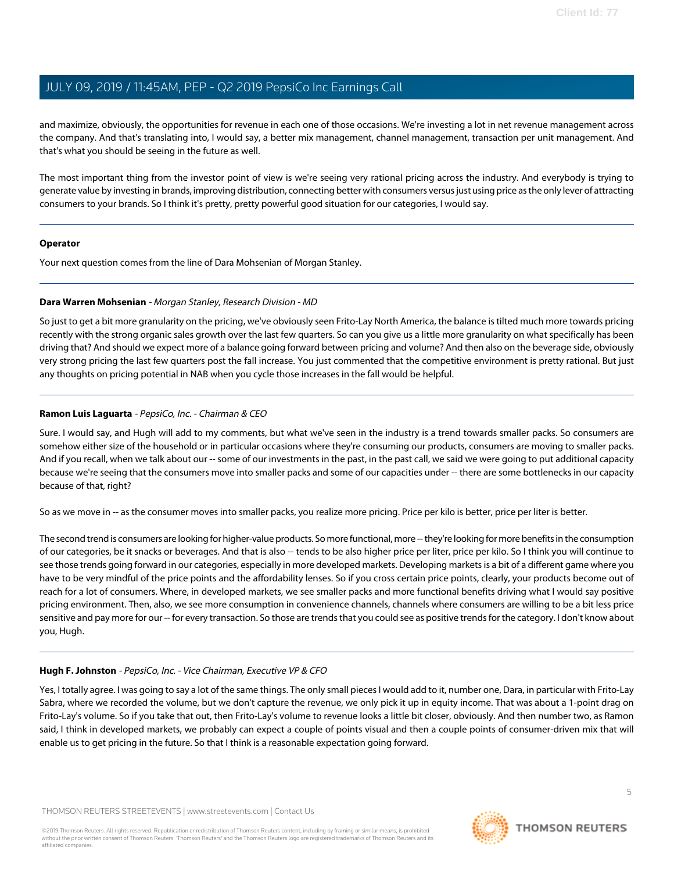and maximize, obviously, the opportunities for revenue in each one of those occasions. We're investing a lot in net revenue management across the company. And that's translating into, I would say, a better mix management, channel management, transaction per unit management. And that's what you should be seeing in the future as well.

The most important thing from the investor point of view is we're seeing very rational pricing across the industry. And everybody is trying to generate value by investing in brands, improving distribution, connecting better with consumers versus just using price as the only lever of attracting consumers to your brands. So I think it's pretty, pretty powerful good situation for our categories, I would say.

#### **Operator**

<span id="page-4-0"></span>Your next question comes from the line of Dara Mohsenian of Morgan Stanley.

#### **Dara Warren Mohsenian** - Morgan Stanley, Research Division - MD

So just to get a bit more granularity on the pricing, we've obviously seen Frito-Lay North America, the balance is tilted much more towards pricing recently with the strong organic sales growth over the last few quarters. So can you give us a little more granularity on what specifically has been driving that? And should we expect more of a balance going forward between pricing and volume? And then also on the beverage side, obviously very strong pricing the last few quarters post the fall increase. You just commented that the competitive environment is pretty rational. But just any thoughts on pricing potential in NAB when you cycle those increases in the fall would be helpful.

#### **Ramon Luis Laguarta** - PepsiCo, Inc. - Chairman & CEO

Sure. I would say, and Hugh will add to my comments, but what we've seen in the industry is a trend towards smaller packs. So consumers are somehow either size of the household or in particular occasions where they're consuming our products, consumers are moving to smaller packs. And if you recall, when we talk about our -- some of our investments in the past, in the past call, we said we were going to put additional capacity because we're seeing that the consumers move into smaller packs and some of our capacities under -- there are some bottlenecks in our capacity because of that, right?

So as we move in -- as the consumer moves into smaller packs, you realize more pricing. Price per kilo is better, price per liter is better.

The second trend is consumers are looking for higher-value products. So more functional, more -- they're looking for more benefits in the consumption of our categories, be it snacks or beverages. And that is also -- tends to be also higher price per liter, price per kilo. So I think you will continue to see those trends going forward in our categories, especially in more developed markets. Developing markets is a bit of a different game where you have to be very mindful of the price points and the affordability lenses. So if you cross certain price points, clearly, your products become out of reach for a lot of consumers. Where, in developed markets, we see smaller packs and more functional benefits driving what I would say positive pricing environment. Then, also, we see more consumption in convenience channels, channels where consumers are willing to be a bit less price sensitive and pay more for our -- for every transaction. So those are trends that you could see as positive trends for the category. I don't know about you, Hugh.

#### **Hugh F. Johnston** - PepsiCo, Inc. - Vice Chairman, Executive VP & CFO

Yes, I totally agree. I was going to say a lot of the same things. The only small pieces I would add to it, number one, Dara, in particular with Frito-Lay Sabra, where we recorded the volume, but we don't capture the revenue, we only pick it up in equity income. That was about a 1-point drag on Frito-Lay's volume. So if you take that out, then Frito-Lay's volume to revenue looks a little bit closer, obviously. And then number two, as Ramon said, I think in developed markets, we probably can expect a couple of points visual and then a couple points of consumer-driven mix that will enable us to get pricing in the future. So that I think is a reasonable expectation going forward.

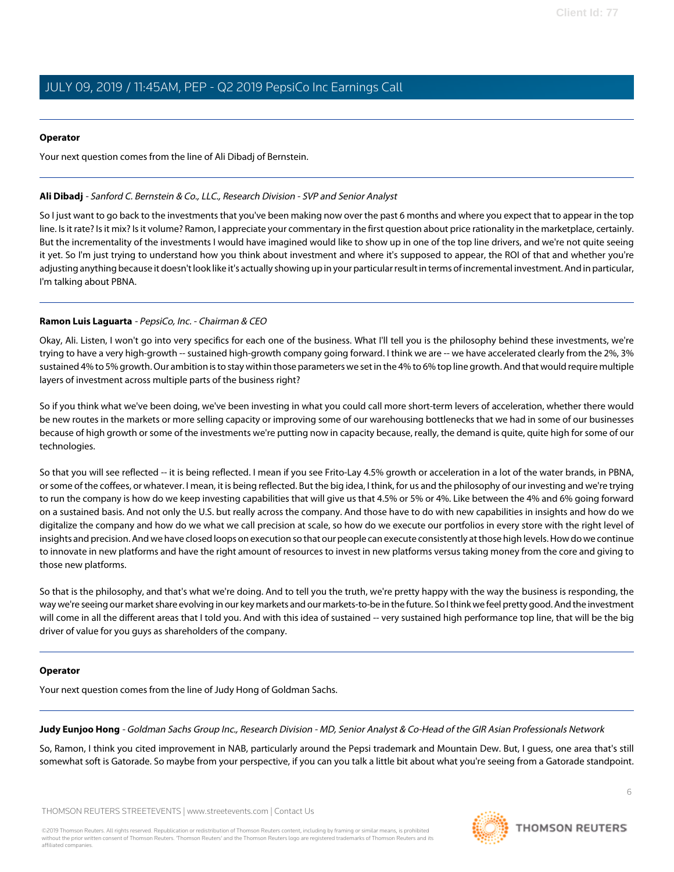#### **Operator**

Your next question comes from the line of Ali Dibadj of Bernstein.

#### <span id="page-5-0"></span>**Ali Dibadj** - Sanford C. Bernstein & Co., LLC., Research Division - SVP and Senior Analyst

So I just want to go back to the investments that you've been making now over the past 6 months and where you expect that to appear in the top line. Is it rate? Is it mix? Is it volume? Ramon, I appreciate your commentary in the first question about price rationality in the marketplace, certainly. But the incrementality of the investments I would have imagined would like to show up in one of the top line drivers, and we're not quite seeing it yet. So I'm just trying to understand how you think about investment and where it's supposed to appear, the ROI of that and whether you're adjusting anything because it doesn't look like it's actually showing up in your particular result in terms of incremental investment. And in particular, I'm talking about PBNA.

#### **Ramon Luis Laguarta** - PepsiCo, Inc. - Chairman & CEO

Okay, Ali. Listen, I won't go into very specifics for each one of the business. What I'll tell you is the philosophy behind these investments, we're trying to have a very high-growth -- sustained high-growth company going forward. I think we are -- we have accelerated clearly from the 2%, 3% sustained 4% to 5% growth. Our ambition is to stay within those parameters we set in the 4% to 6% top line growth. And that would require multiple layers of investment across multiple parts of the business right?

So if you think what we've been doing, we've been investing in what you could call more short-term levers of acceleration, whether there would be new routes in the markets or more selling capacity or improving some of our warehousing bottlenecks that we had in some of our businesses because of high growth or some of the investments we're putting now in capacity because, really, the demand is quite, quite high for some of our technologies.

So that you will see reflected -- it is being reflected. I mean if you see Frito-Lay 4.5% growth or acceleration in a lot of the water brands, in PBNA, or some of the coffees, or whatever. I mean, it is being reflected. But the big idea, I think, for us and the philosophy of our investing and we're trying to run the company is how do we keep investing capabilities that will give us that 4.5% or 5% or 4%. Like between the 4% and 6% going forward on a sustained basis. And not only the U.S. but really across the company. And those have to do with new capabilities in insights and how do we digitalize the company and how do we what we call precision at scale, so how do we execute our portfolios in every store with the right level of insights and precision. And we have closed loops on execution so that our people can execute consistently at those high levels. How do we continue to innovate in new platforms and have the right amount of resources to invest in new platforms versus taking money from the core and giving to those new platforms.

So that is the philosophy, and that's what we're doing. And to tell you the truth, we're pretty happy with the way the business is responding, the way we're seeing our market share evolving in our key markets and our markets-to-be in the future. So I think we feel pretty good. And the investment will come in all the different areas that I told you. And with this idea of sustained -- very sustained high performance top line, that will be the big driver of value for you guys as shareholders of the company.

#### <span id="page-5-1"></span>**Operator**

Your next question comes from the line of Judy Hong of Goldman Sachs.

**Judy Eunjoo Hong** - Goldman Sachs Group Inc., Research Division - MD, Senior Analyst & Co-Head of the GIR Asian Professionals Network

So, Ramon, I think you cited improvement in NAB, particularly around the Pepsi trademark and Mountain Dew. But, I guess, one area that's still somewhat soft is Gatorade. So maybe from your perspective, if you can you talk a little bit about what you're seeing from a Gatorade standpoint.

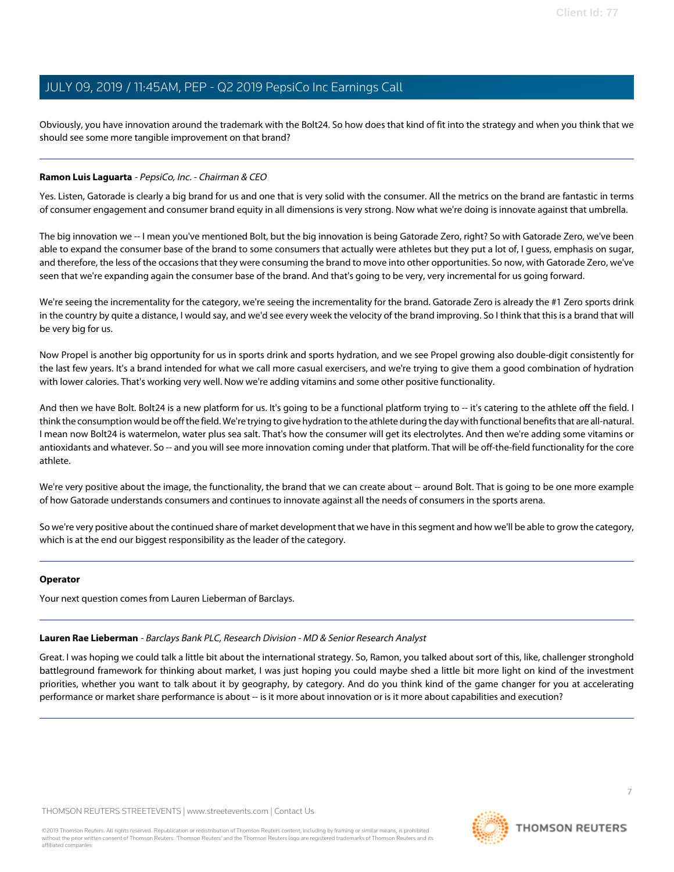Obviously, you have innovation around the trademark with the Bolt24. So how does that kind of fit into the strategy and when you think that we should see some more tangible improvement on that brand?

#### **Ramon Luis Laguarta** - PepsiCo, Inc. - Chairman & CEO

Yes. Listen, Gatorade is clearly a big brand for us and one that is very solid with the consumer. All the metrics on the brand are fantastic in terms of consumer engagement and consumer brand equity in all dimensions is very strong. Now what we're doing is innovate against that umbrella.

The big innovation we -- I mean you've mentioned Bolt, but the big innovation is being Gatorade Zero, right? So with Gatorade Zero, we've been able to expand the consumer base of the brand to some consumers that actually were athletes but they put a lot of, I guess, emphasis on sugar, and therefore, the less of the occasions that they were consuming the brand to move into other opportunities. So now, with Gatorade Zero, we've seen that we're expanding again the consumer base of the brand. And that's going to be very, very incremental for us going forward.

We're seeing the incrementality for the category, we're seeing the incrementality for the brand. Gatorade Zero is already the #1 Zero sports drink in the country by quite a distance, I would say, and we'd see every week the velocity of the brand improving. So I think that this is a brand that will be very big for us.

Now Propel is another big opportunity for us in sports drink and sports hydration, and we see Propel growing also double-digit consistently for the last few years. It's a brand intended for what we call more casual exercisers, and we're trying to give them a good combination of hydration with lower calories. That's working very well. Now we're adding vitamins and some other positive functionality.

And then we have Bolt. Bolt24 is a new platform for us. It's going to be a functional platform trying to -- it's catering to the athlete off the field. I think the consumption would be off the field. We're trying to give hydration to the athlete during the day with functional benefits that are all-natural. I mean now Bolt24 is watermelon, water plus sea salt. That's how the consumer will get its electrolytes. And then we're adding some vitamins or antioxidants and whatever. So -- and you will see more innovation coming under that platform. That will be off-the-field functionality for the core athlete.

We're very positive about the image, the functionality, the brand that we can create about -- around Bolt. That is going to be one more example of how Gatorade understands consumers and continues to innovate against all the needs of consumers in the sports arena.

So we're very positive about the continued share of market development that we have in this segment and how we'll be able to grow the category, which is at the end our biggest responsibility as the leader of the category.

#### <span id="page-6-0"></span>**Operator**

Your next question comes from Lauren Lieberman of Barclays.

#### **Lauren Rae Lieberman** - Barclays Bank PLC, Research Division - MD & Senior Research Analyst

Great. I was hoping we could talk a little bit about the international strategy. So, Ramon, you talked about sort of this, like, challenger stronghold battleground framework for thinking about market, I was just hoping you could maybe shed a little bit more light on kind of the investment priorities, whether you want to talk about it by geography, by category. And do you think kind of the game changer for you at accelerating performance or market share performance is about -- is it more about innovation or is it more about capabilities and execution?

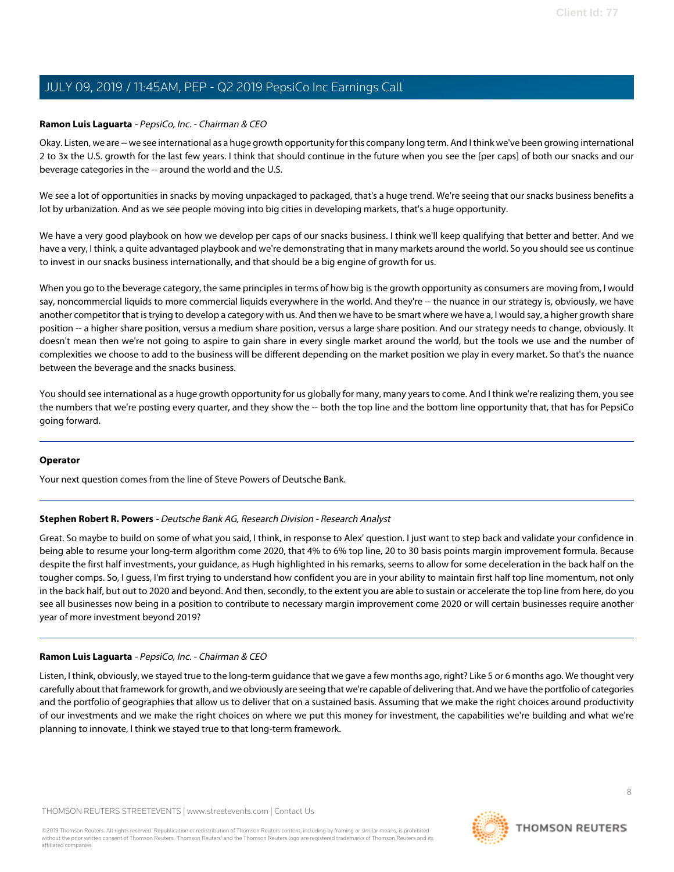#### **Ramon Luis Laguarta** - PepsiCo, Inc. - Chairman & CEO

Okay. Listen, we are -- we see international as a huge growth opportunity for this company long term. And I think we've been growing international 2 to 3x the U.S. growth for the last few years. I think that should continue in the future when you see the [per caps] of both our snacks and our beverage categories in the -- around the world and the U.S.

We see a lot of opportunities in snacks by moving unpackaged to packaged, that's a huge trend. We're seeing that our snacks business benefits a lot by urbanization. And as we see people moving into big cities in developing markets, that's a huge opportunity.

We have a very good playbook on how we develop per caps of our snacks business. I think we'll keep qualifying that better and better. And we have a very, I think, a quite advantaged playbook and we're demonstrating that in many markets around the world. So you should see us continue to invest in our snacks business internationally, and that should be a big engine of growth for us.

When you go to the beverage category, the same principles in terms of how big is the growth opportunity as consumers are moving from, I would say, noncommercial liquids to more commercial liquids everywhere in the world. And they're -- the nuance in our strategy is, obviously, we have another competitor that is trying to develop a category with us. And then we have to be smart where we have a, I would say, a higher growth share position -- a higher share position, versus a medium share position, versus a large share position. And our strategy needs to change, obviously. It doesn't mean then we're not going to aspire to gain share in every single market around the world, but the tools we use and the number of complexities we choose to add to the business will be different depending on the market position we play in every market. So that's the nuance between the beverage and the snacks business.

You should see international as a huge growth opportunity for us globally for many, many years to come. And I think we're realizing them, you see the numbers that we're posting every quarter, and they show the -- both the top line and the bottom line opportunity that, that has for PepsiCo going forward.

#### <span id="page-7-0"></span>**Operator**

Your next question comes from the line of Steve Powers of Deutsche Bank.

#### **Stephen Robert R. Powers** - Deutsche Bank AG, Research Division - Research Analyst

Great. So maybe to build on some of what you said, I think, in response to Alex' question. I just want to step back and validate your confidence in being able to resume your long-term algorithm come 2020, that 4% to 6% top line, 20 to 30 basis points margin improvement formula. Because despite the first half investments, your guidance, as Hugh highlighted in his remarks, seems to allow for some deceleration in the back half on the tougher comps. So, I guess, I'm first trying to understand how confident you are in your ability to maintain first half top line momentum, not only in the back half, but out to 2020 and beyond. And then, secondly, to the extent you are able to sustain or accelerate the top line from here, do you see all businesses now being in a position to contribute to necessary margin improvement come 2020 or will certain businesses require another year of more investment beyond 2019?

#### **Ramon Luis Laguarta** - PepsiCo, Inc. - Chairman & CEO

Listen, I think, obviously, we stayed true to the long-term guidance that we gave a few months ago, right? Like 5 or 6 months ago. We thought very carefully about that framework for growth, and we obviously are seeing that we're capable of delivering that. And we have the portfolio of categories and the portfolio of geographies that allow us to deliver that on a sustained basis. Assuming that we make the right choices around productivity of our investments and we make the right choices on where we put this money for investment, the capabilities we're building and what we're planning to innovate, I think we stayed true to that long-term framework.

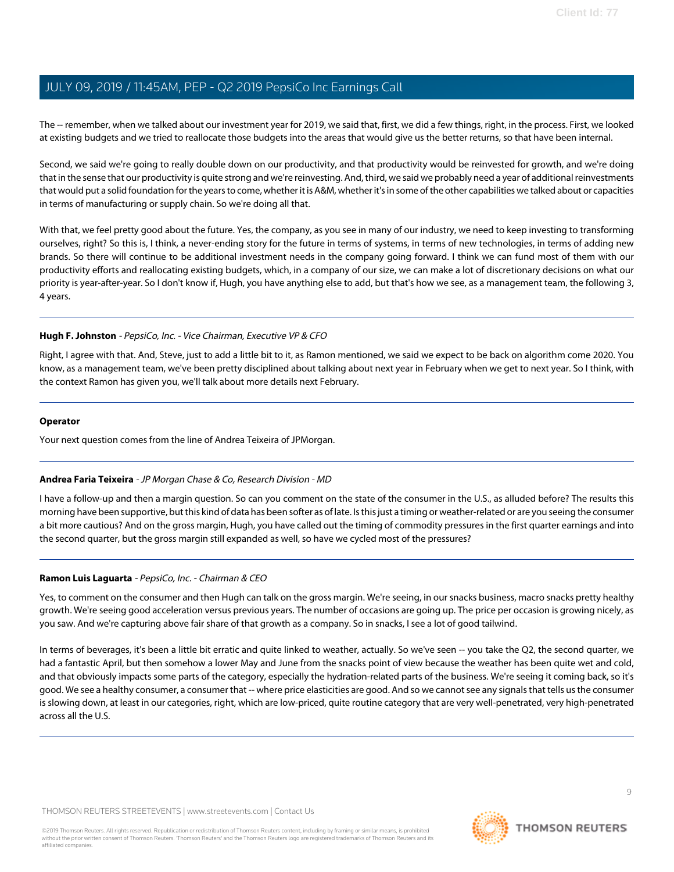The -- remember, when we talked about our investment year for 2019, we said that, first, we did a few things, right, in the process. First, we looked at existing budgets and we tried to reallocate those budgets into the areas that would give us the better returns, so that have been internal.

Second, we said we're going to really double down on our productivity, and that productivity would be reinvested for growth, and we're doing that in the sense that our productivity is quite strong and we're reinvesting. And, third, we said we probably need a year of additional reinvestments that would put a solid foundation for the years to come, whether it is A&M, whether it's in some of the other capabilities we talked about or capacities in terms of manufacturing or supply chain. So we're doing all that.

With that, we feel pretty good about the future. Yes, the company, as you see in many of our industry, we need to keep investing to transforming ourselves, right? So this is, I think, a never-ending story for the future in terms of systems, in terms of new technologies, in terms of adding new brands. So there will continue to be additional investment needs in the company going forward. I think we can fund most of them with our productivity efforts and reallocating existing budgets, which, in a company of our size, we can make a lot of discretionary decisions on what our priority is year-after-year. So I don't know if, Hugh, you have anything else to add, but that's how we see, as a management team, the following 3, 4 years.

#### **Hugh F. Johnston** - PepsiCo, Inc. - Vice Chairman, Executive VP & CFO

Right, I agree with that. And, Steve, just to add a little bit to it, as Ramon mentioned, we said we expect to be back on algorithm come 2020. You know, as a management team, we've been pretty disciplined about talking about next year in February when we get to next year. So I think, with the context Ramon has given you, we'll talk about more details next February.

#### **Operator**

<span id="page-8-0"></span>Your next question comes from the line of Andrea Teixeira of JPMorgan.

#### **Andrea Faria Teixeira** - JP Morgan Chase & Co, Research Division - MD

I have a follow-up and then a margin question. So can you comment on the state of the consumer in the U.S., as alluded before? The results this morning have been supportive, but this kind of data has been softer as of late. Is this just a timing or weather-related or are you seeing the consumer a bit more cautious? And on the gross margin, Hugh, you have called out the timing of commodity pressures in the first quarter earnings and into the second quarter, but the gross margin still expanded as well, so have we cycled most of the pressures?

#### **Ramon Luis Laguarta** - PepsiCo, Inc. - Chairman & CEO

Yes, to comment on the consumer and then Hugh can talk on the gross margin. We're seeing, in our snacks business, macro snacks pretty healthy growth. We're seeing good acceleration versus previous years. The number of occasions are going up. The price per occasion is growing nicely, as you saw. And we're capturing above fair share of that growth as a company. So in snacks, I see a lot of good tailwind.

In terms of beverages, it's been a little bit erratic and quite linked to weather, actually. So we've seen -- you take the Q2, the second quarter, we had a fantastic April, but then somehow a lower May and June from the snacks point of view because the weather has been quite wet and cold, and that obviously impacts some parts of the category, especially the hydration-related parts of the business. We're seeing it coming back, so it's good. We see a healthy consumer, a consumer that -- where price elasticities are good. And so we cannot see any signals that tells us the consumer is slowing down, at least in our categories, right, which are low-priced, quite routine category that are very well-penetrated, very high-penetrated across all the U.S.

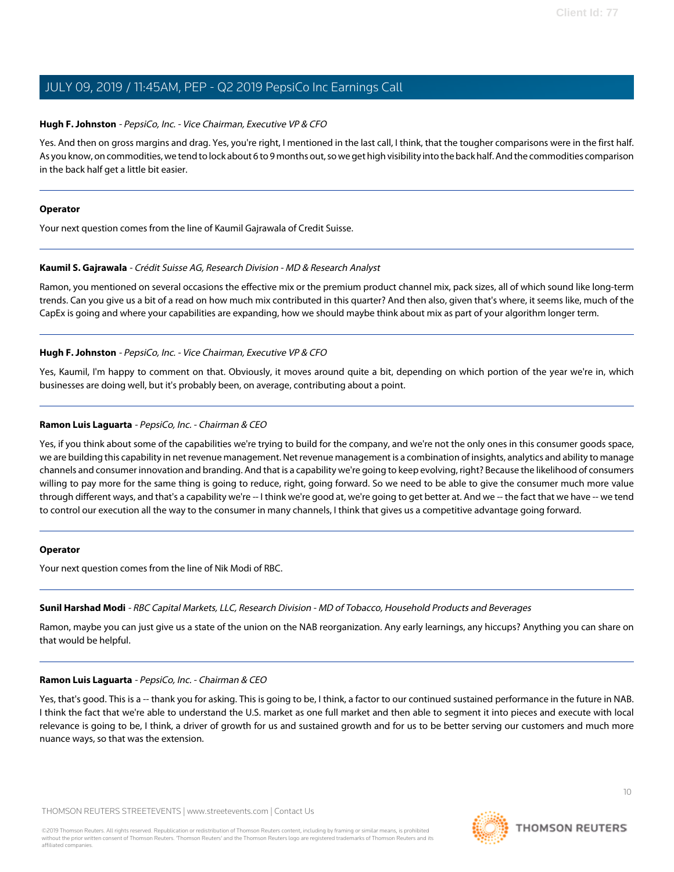#### **Hugh F. Johnston** - PepsiCo, Inc. - Vice Chairman, Executive VP & CFO

Yes. And then on gross margins and drag. Yes, you're right, I mentioned in the last call, I think, that the tougher comparisons were in the first half. As you know, on commodities, we tend to lock about 6 to 9 months out, so we get high visibility into the back half. And the commodities comparison in the back half get a little bit easier.

#### **Operator**

<span id="page-9-0"></span>Your next question comes from the line of Kaumil Gajrawala of Credit Suisse.

#### **Kaumil S. Gajrawala** - Crédit Suisse AG, Research Division - MD & Research Analyst

Ramon, you mentioned on several occasions the effective mix or the premium product channel mix, pack sizes, all of which sound like long-term trends. Can you give us a bit of a read on how much mix contributed in this quarter? And then also, given that's where, it seems like, much of the CapEx is going and where your capabilities are expanding, how we should maybe think about mix as part of your algorithm longer term.

#### **Hugh F. Johnston** - PepsiCo, Inc. - Vice Chairman, Executive VP & CFO

Yes, Kaumil, I'm happy to comment on that. Obviously, it moves around quite a bit, depending on which portion of the year we're in, which businesses are doing well, but it's probably been, on average, contributing about a point.

#### **Ramon Luis Laguarta** - PepsiCo, Inc. - Chairman & CEO

Yes, if you think about some of the capabilities we're trying to build for the company, and we're not the only ones in this consumer goods space, we are building this capability in net revenue management. Net revenue management is a combination of insights, analytics and ability to manage channels and consumer innovation and branding. And that is a capability we're going to keep evolving, right? Because the likelihood of consumers willing to pay more for the same thing is going to reduce, right, going forward. So we need to be able to give the consumer much more value through different ways, and that's a capability we're -- I think we're good at, we're going to get better at. And we -- the fact that we have -- we tend to control our execution all the way to the consumer in many channels, I think that gives us a competitive advantage going forward.

#### <span id="page-9-1"></span>**Operator**

Your next question comes from the line of Nik Modi of RBC.

#### **Sunil Harshad Modi** - RBC Capital Markets, LLC, Research Division - MD of Tobacco, Household Products and Beverages

Ramon, maybe you can just give us a state of the union on the NAB reorganization. Any early learnings, any hiccups? Anything you can share on that would be helpful.

#### **Ramon Luis Laguarta** - PepsiCo, Inc. - Chairman & CEO

Yes, that's good. This is a -- thank you for asking. This is going to be, I think, a factor to our continued sustained performance in the future in NAB. I think the fact that we're able to understand the U.S. market as one full market and then able to segment it into pieces and execute with local relevance is going to be, I think, a driver of growth for us and sustained growth and for us to be better serving our customers and much more nuance ways, so that was the extension.

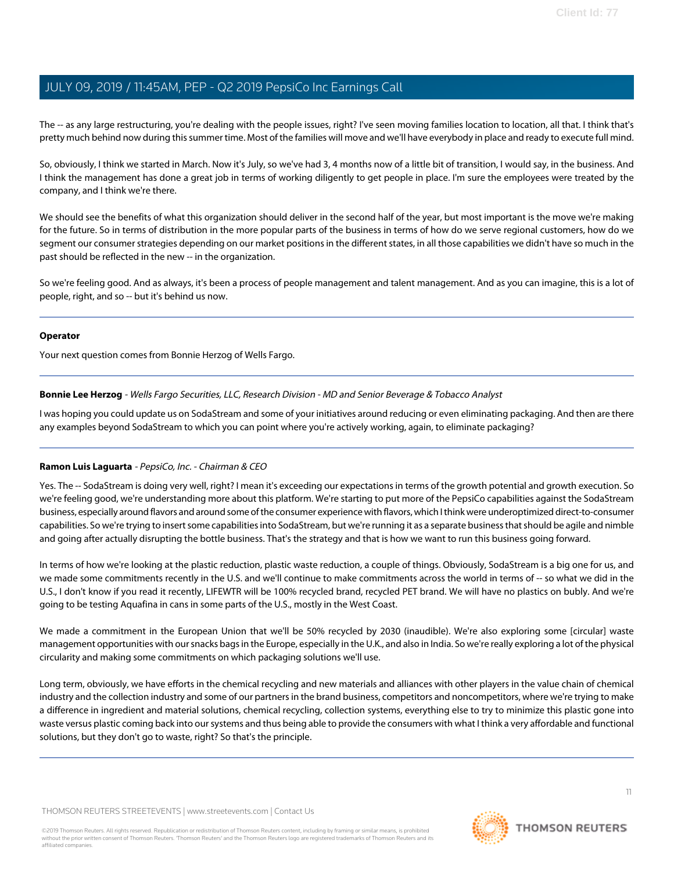The -- as any large restructuring, you're dealing with the people issues, right? I've seen moving families location to location, all that. I think that's pretty much behind now during this summer time. Most of the families will move and we'll have everybody in place and ready to execute full mind.

So, obviously, I think we started in March. Now it's July, so we've had 3, 4 months now of a little bit of transition, I would say, in the business. And I think the management has done a great job in terms of working diligently to get people in place. I'm sure the employees were treated by the company, and I think we're there.

We should see the benefits of what this organization should deliver in the second half of the year, but most important is the move we're making for the future. So in terms of distribution in the more popular parts of the business in terms of how do we serve regional customers, how do we segment our consumer strategies depending on our market positions in the different states, in all those capabilities we didn't have so much in the past should be reflected in the new -- in the organization.

So we're feeling good. And as always, it's been a process of people management and talent management. And as you can imagine, this is a lot of people, right, and so -- but it's behind us now.

#### **Operator**

<span id="page-10-0"></span>Your next question comes from Bonnie Herzog of Wells Fargo.

#### **Bonnie Lee Herzog** - Wells Fargo Securities, LLC, Research Division - MD and Senior Beverage & Tobacco Analyst

I was hoping you could update us on SodaStream and some of your initiatives around reducing or even eliminating packaging. And then are there any examples beyond SodaStream to which you can point where you're actively working, again, to eliminate packaging?

#### **Ramon Luis Laguarta** - PepsiCo, Inc. - Chairman & CEO

Yes. The -- SodaStream is doing very well, right? I mean it's exceeding our expectations in terms of the growth potential and growth execution. So we're feeling good, we're understanding more about this platform. We're starting to put more of the PepsiCo capabilities against the SodaStream business, especially around flavors and around some of the consumer experience with flavors, which I think were underoptimized direct-to-consumer capabilities. So we're trying to insert some capabilities into SodaStream, but we're running it as a separate business that should be agile and nimble and going after actually disrupting the bottle business. That's the strategy and that is how we want to run this business going forward.

In terms of how we're looking at the plastic reduction, plastic waste reduction, a couple of things. Obviously, SodaStream is a big one for us, and we made some commitments recently in the U.S. and we'll continue to make commitments across the world in terms of -- so what we did in the U.S., I don't know if you read it recently, LIFEWTR will be 100% recycled brand, recycled PET brand. We will have no plastics on bubly. And we're going to be testing Aquafina in cans in some parts of the U.S., mostly in the West Coast.

We made a commitment in the European Union that we'll be 50% recycled by 2030 (inaudible). We're also exploring some [circular] waste management opportunities with our snacks bags in the Europe, especially in the U.K., and also in India. So we're really exploring a lot of the physical circularity and making some commitments on which packaging solutions we'll use.

Long term, obviously, we have efforts in the chemical recycling and new materials and alliances with other players in the value chain of chemical industry and the collection industry and some of our partners in the brand business, competitors and noncompetitors, where we're trying to make a difference in ingredient and material solutions, chemical recycling, collection systems, everything else to try to minimize this plastic gone into waste versus plastic coming back into our systems and thus being able to provide the consumers with what I think a very affordable and functional solutions, but they don't go to waste, right? So that's the principle.

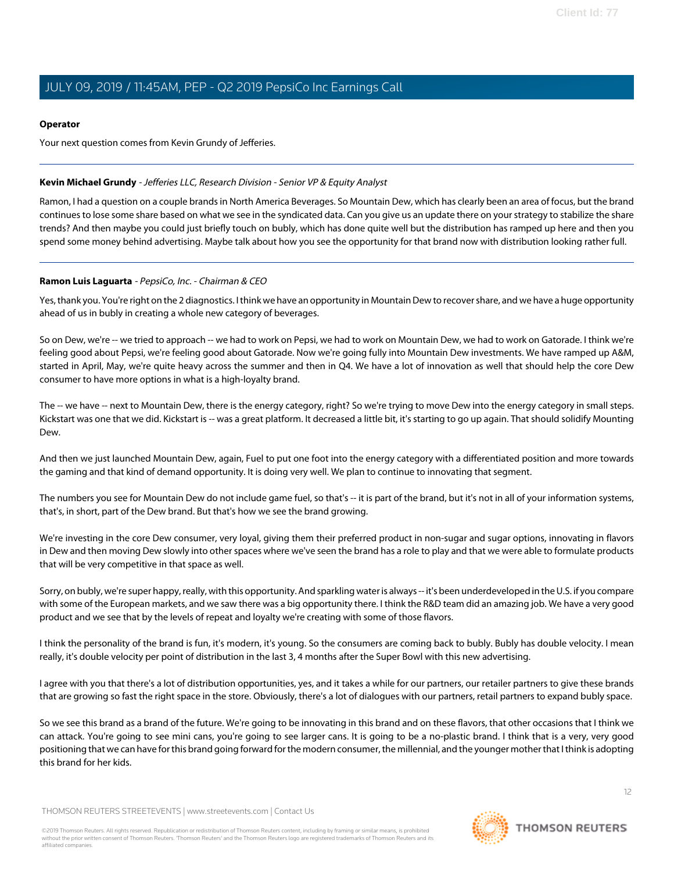#### **Operator**

Your next question comes from Kevin Grundy of Jefferies.

#### <span id="page-11-0"></span>**Kevin Michael Grundy** - Jefferies LLC, Research Division - Senior VP & Equity Analyst

Ramon, I had a question on a couple brands in North America Beverages. So Mountain Dew, which has clearly been an area of focus, but the brand continues to lose some share based on what we see in the syndicated data. Can you give us an update there on your strategy to stabilize the share trends? And then maybe you could just briefly touch on bubly, which has done quite well but the distribution has ramped up here and then you spend some money behind advertising. Maybe talk about how you see the opportunity for that brand now with distribution looking rather full.

#### **Ramon Luis Laguarta** - PepsiCo, Inc. - Chairman & CEO

Yes, thank you. You're right on the 2 diagnostics. I think we have an opportunity in Mountain Dew to recover share, and we have a huge opportunity ahead of us in bubly in creating a whole new category of beverages.

So on Dew, we're -- we tried to approach -- we had to work on Pepsi, we had to work on Mountain Dew, we had to work on Gatorade. I think we're feeling good about Pepsi, we're feeling good about Gatorade. Now we're going fully into Mountain Dew investments. We have ramped up A&M, started in April, May, we're quite heavy across the summer and then in Q4. We have a lot of innovation as well that should help the core Dew consumer to have more options in what is a high-loyalty brand.

The -- we have -- next to Mountain Dew, there is the energy category, right? So we're trying to move Dew into the energy category in small steps. Kickstart was one that we did. Kickstart is -- was a great platform. It decreased a little bit, it's starting to go up again. That should solidify Mounting Dew.

And then we just launched Mountain Dew, again, Fuel to put one foot into the energy category with a differentiated position and more towards the gaming and that kind of demand opportunity. It is doing very well. We plan to continue to innovating that segment.

The numbers you see for Mountain Dew do not include game fuel, so that's -- it is part of the brand, but it's not in all of your information systems, that's, in short, part of the Dew brand. But that's how we see the brand growing.

We're investing in the core Dew consumer, very loyal, giving them their preferred product in non-sugar and sugar options, innovating in flavors in Dew and then moving Dew slowly into other spaces where we've seen the brand has a role to play and that we were able to formulate products that will be very competitive in that space as well.

Sorry, on bubly, we're super happy, really, with this opportunity. And sparkling water is always -- it's been underdeveloped in the U.S. if you compare with some of the European markets, and we saw there was a big opportunity there. I think the R&D team did an amazing job. We have a very good product and we see that by the levels of repeat and loyalty we're creating with some of those flavors.

I think the personality of the brand is fun, it's modern, it's young. So the consumers are coming back to bubly. Bubly has double velocity. I mean really, it's double velocity per point of distribution in the last 3, 4 months after the Super Bowl with this new advertising.

I agree with you that there's a lot of distribution opportunities, yes, and it takes a while for our partners, our retailer partners to give these brands that are growing so fast the right space in the store. Obviously, there's a lot of dialogues with our partners, retail partners to expand bubly space.

So we see this brand as a brand of the future. We're going to be innovating in this brand and on these flavors, that other occasions that I think we can attack. You're going to see mini cans, you're going to see larger cans. It is going to be a no-plastic brand. I think that is a very, very good positioning that we can have for this brand going forward for the modern consumer, the millennial, and the younger mother that I think is adopting this brand for her kids.

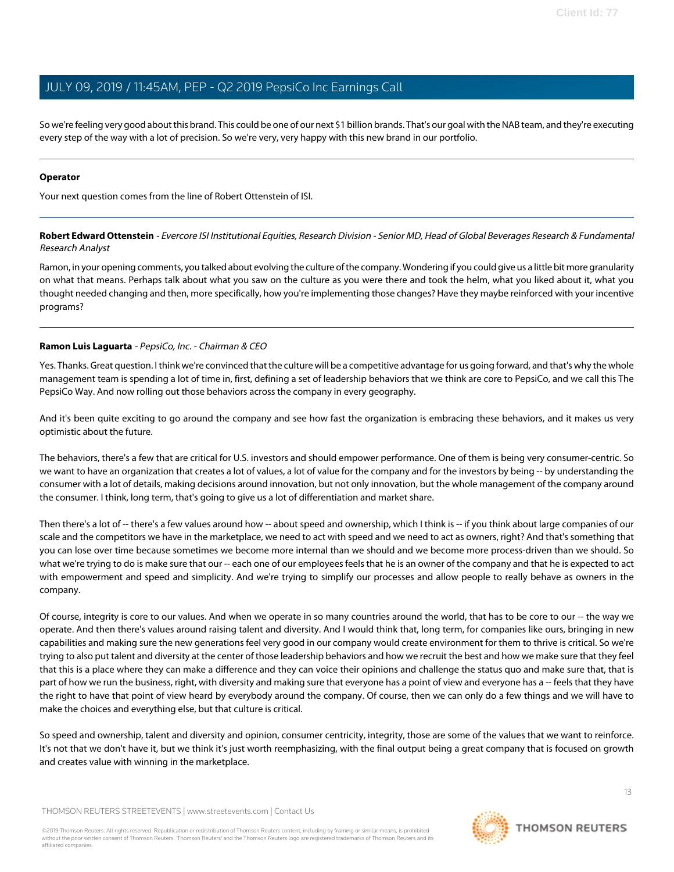So we're feeling very good about this brand. This could be one of our next \$1 billion brands. That's our goal with the NAB team, and they're executing every step of the way with a lot of precision. So we're very, very happy with this new brand in our portfolio.

#### **Operator**

<span id="page-12-0"></span>Your next question comes from the line of Robert Ottenstein of ISI.

**Robert Edward Ottenstein** - Evercore ISI Institutional Equities, Research Division - Senior MD, Head of Global Beverages Research & Fundamental Research Analyst

Ramon, in your opening comments, you talked about evolving the culture of the company. Wondering if you could give us a little bit more granularity on what that means. Perhaps talk about what you saw on the culture as you were there and took the helm, what you liked about it, what you thought needed changing and then, more specifically, how you're implementing those changes? Have they maybe reinforced with your incentive programs?

#### **Ramon Luis Laguarta** - PepsiCo, Inc. - Chairman & CEO

Yes. Thanks. Great question. I think we're convinced that the culture will be a competitive advantage for us going forward, and that's why the whole management team is spending a lot of time in, first, defining a set of leadership behaviors that we think are core to PepsiCo, and we call this The PepsiCo Way. And now rolling out those behaviors across the company in every geography.

And it's been quite exciting to go around the company and see how fast the organization is embracing these behaviors, and it makes us very optimistic about the future.

The behaviors, there's a few that are critical for U.S. investors and should empower performance. One of them is being very consumer-centric. So we want to have an organization that creates a lot of values, a lot of value for the company and for the investors by being -- by understanding the consumer with a lot of details, making decisions around innovation, but not only innovation, but the whole management of the company around the consumer. I think, long term, that's going to give us a lot of differentiation and market share.

Then there's a lot of -- there's a few values around how -- about speed and ownership, which I think is -- if you think about large companies of our scale and the competitors we have in the marketplace, we need to act with speed and we need to act as owners, right? And that's something that you can lose over time because sometimes we become more internal than we should and we become more process-driven than we should. So what we're trying to do is make sure that our -- each one of our employees feels that he is an owner of the company and that he is expected to act with empowerment and speed and simplicity. And we're trying to simplify our processes and allow people to really behave as owners in the company.

Of course, integrity is core to our values. And when we operate in so many countries around the world, that has to be core to our -- the way we operate. And then there's values around raising talent and diversity. And I would think that, long term, for companies like ours, bringing in new capabilities and making sure the new generations feel very good in our company would create environment for them to thrive is critical. So we're trying to also put talent and diversity at the center of those leadership behaviors and how we recruit the best and how we make sure that they feel that this is a place where they can make a difference and they can voice their opinions and challenge the status quo and make sure that, that is part of how we run the business, right, with diversity and making sure that everyone has a point of view and everyone has a -- feels that they have the right to have that point of view heard by everybody around the company. Of course, then we can only do a few things and we will have to make the choices and everything else, but that culture is critical.

So speed and ownership, talent and diversity and opinion, consumer centricity, integrity, those are some of the values that we want to reinforce. It's not that we don't have it, but we think it's just worth reemphasizing, with the final output being a great company that is focused on growth and creates value with winning in the marketplace.

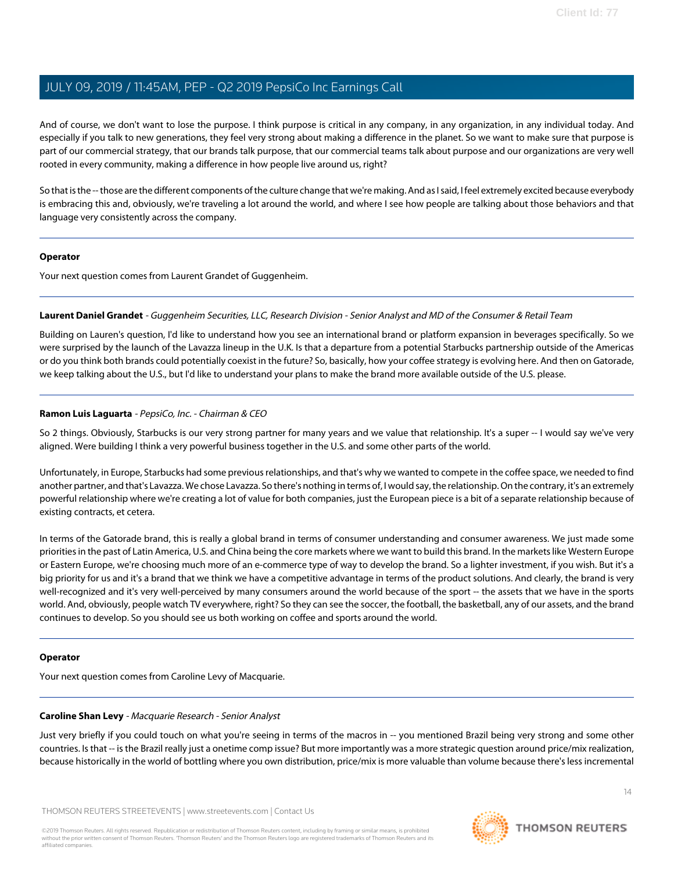And of course, we don't want to lose the purpose. I think purpose is critical in any company, in any organization, in any individual today. And especially if you talk to new generations, they feel very strong about making a difference in the planet. So we want to make sure that purpose is part of our commercial strategy, that our brands talk purpose, that our commercial teams talk about purpose and our organizations are very well rooted in every community, making a difference in how people live around us, right?

So that is the -- those are the different components of the culture change that we're making. And as I said, I feel extremely excited because everybody is embracing this and, obviously, we're traveling a lot around the world, and where I see how people are talking about those behaviors and that language very consistently across the company.

#### **Operator**

<span id="page-13-1"></span>Your next question comes from Laurent Grandet of Guggenheim.

#### **Laurent Daniel Grandet** - Guggenheim Securities, LLC, Research Division - Senior Analyst and MD of the Consumer & Retail Team

Building on Lauren's question, I'd like to understand how you see an international brand or platform expansion in beverages specifically. So we were surprised by the launch of the Lavazza lineup in the U.K. Is that a departure from a potential Starbucks partnership outside of the Americas or do you think both brands could potentially coexist in the future? So, basically, how your coffee strategy is evolving here. And then on Gatorade, we keep talking about the U.S., but I'd like to understand your plans to make the brand more available outside of the U.S. please.

#### **Ramon Luis Laguarta** - PepsiCo, Inc. - Chairman & CEO

So 2 things. Obviously, Starbucks is our very strong partner for many years and we value that relationship. It's a super -- I would say we've very aligned. Were building I think a very powerful business together in the U.S. and some other parts of the world.

Unfortunately, in Europe, Starbucks had some previous relationships, and that's why we wanted to compete in the coffee space, we needed to find another partner, and that's Lavazza. We chose Lavazza. So there's nothing in terms of, I would say, the relationship. On the contrary, it's an extremely powerful relationship where we're creating a lot of value for both companies, just the European piece is a bit of a separate relationship because of existing contracts, et cetera.

In terms of the Gatorade brand, this is really a global brand in terms of consumer understanding and consumer awareness. We just made some priorities in the past of Latin America, U.S. and China being the core markets where we want to build this brand. In the markets like Western Europe or Eastern Europe, we're choosing much more of an e-commerce type of way to develop the brand. So a lighter investment, if you wish. But it's a big priority for us and it's a brand that we think we have a competitive advantage in terms of the product solutions. And clearly, the brand is very well-recognized and it's very well-perceived by many consumers around the world because of the sport -- the assets that we have in the sports world. And, obviously, people watch TV everywhere, right? So they can see the soccer, the football, the basketball, any of our assets, and the brand continues to develop. So you should see us both working on coffee and sports around the world.

#### <span id="page-13-0"></span>**Operator**

Your next question comes from Caroline Levy of Macquarie.

#### **Caroline Shan Levy** - Macquarie Research - Senior Analyst

Just very briefly if you could touch on what you're seeing in terms of the macros in -- you mentioned Brazil being very strong and some other countries. Is that -- is the Brazil really just a onetime comp issue? But more importantly was a more strategic question around price/mix realization, because historically in the world of bottling where you own distribution, price/mix is more valuable than volume because there's less incremental

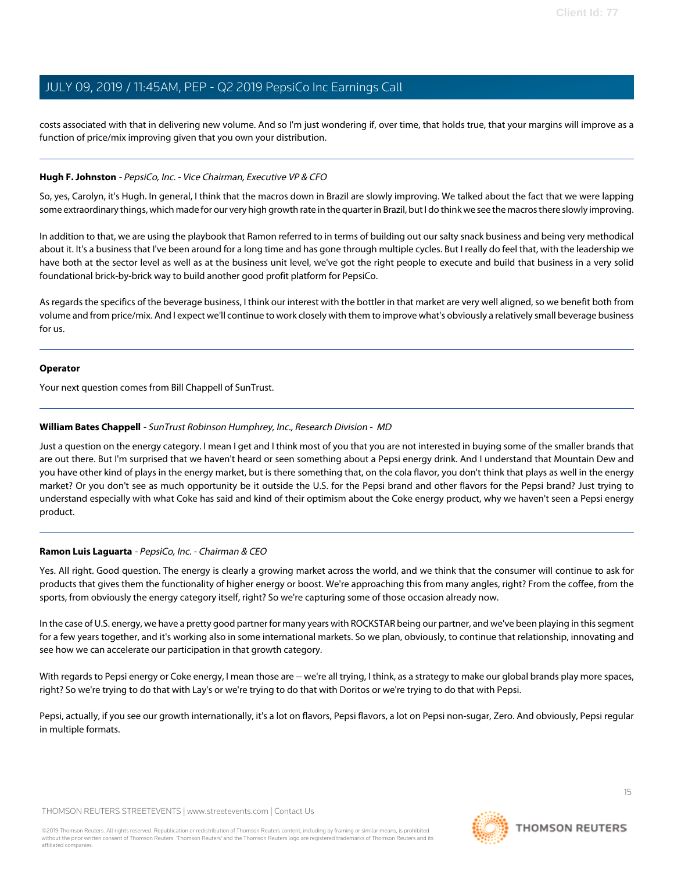costs associated with that in delivering new volume. And so I'm just wondering if, over time, that holds true, that your margins will improve as a function of price/mix improving given that you own your distribution.

#### **Hugh F. Johnston** - PepsiCo, Inc. - Vice Chairman, Executive VP & CFO

So, yes, Carolyn, it's Hugh. In general, I think that the macros down in Brazil are slowly improving. We talked about the fact that we were lapping some extraordinary things, which made for our very high growth rate in the quarter in Brazil, but I do think we see the macros there slowly improving.

In addition to that, we are using the playbook that Ramon referred to in terms of building out our salty snack business and being very methodical about it. It's a business that I've been around for a long time and has gone through multiple cycles. But I really do feel that, with the leadership we have both at the sector level as well as at the business unit level, we've got the right people to execute and build that business in a very solid foundational brick-by-brick way to build another good profit platform for PepsiCo.

As regards the specifics of the beverage business, I think our interest with the bottler in that market are very well aligned, so we benefit both from volume and from price/mix. And I expect we'll continue to work closely with them to improve what's obviously a relatively small beverage business for us.

#### **Operator**

<span id="page-14-0"></span>Your next question comes from Bill Chappell of SunTrust.

#### **William Bates Chappell** - SunTrust Robinson Humphrey, Inc., Research Division - MD

Just a question on the energy category. I mean I get and I think most of you that you are not interested in buying some of the smaller brands that are out there. But I'm surprised that we haven't heard or seen something about a Pepsi energy drink. And I understand that Mountain Dew and you have other kind of plays in the energy market, but is there something that, on the cola flavor, you don't think that plays as well in the energy market? Or you don't see as much opportunity be it outside the U.S. for the Pepsi brand and other flavors for the Pepsi brand? Just trying to understand especially with what Coke has said and kind of their optimism about the Coke energy product, why we haven't seen a Pepsi energy product.

#### **Ramon Luis Laguarta** - PepsiCo, Inc. - Chairman & CEO

Yes. All right. Good question. The energy is clearly a growing market across the world, and we think that the consumer will continue to ask for products that gives them the functionality of higher energy or boost. We're approaching this from many angles, right? From the coffee, from the sports, from obviously the energy category itself, right? So we're capturing some of those occasion already now.

In the case of U.S. energy, we have a pretty good partner for many years with ROCKSTAR being our partner, and we've been playing in this segment for a few years together, and it's working also in some international markets. So we plan, obviously, to continue that relationship, innovating and see how we can accelerate our participation in that growth category.

With regards to Pepsi energy or Coke energy, I mean those are -- we're all trying, I think, as a strategy to make our global brands play more spaces, right? So we're trying to do that with Lay's or we're trying to do that with Doritos or we're trying to do that with Pepsi.

Pepsi, actually, if you see our growth internationally, it's a lot on flavors, Pepsi flavors, a lot on Pepsi non-sugar, Zero. And obviously, Pepsi regular in multiple formats.

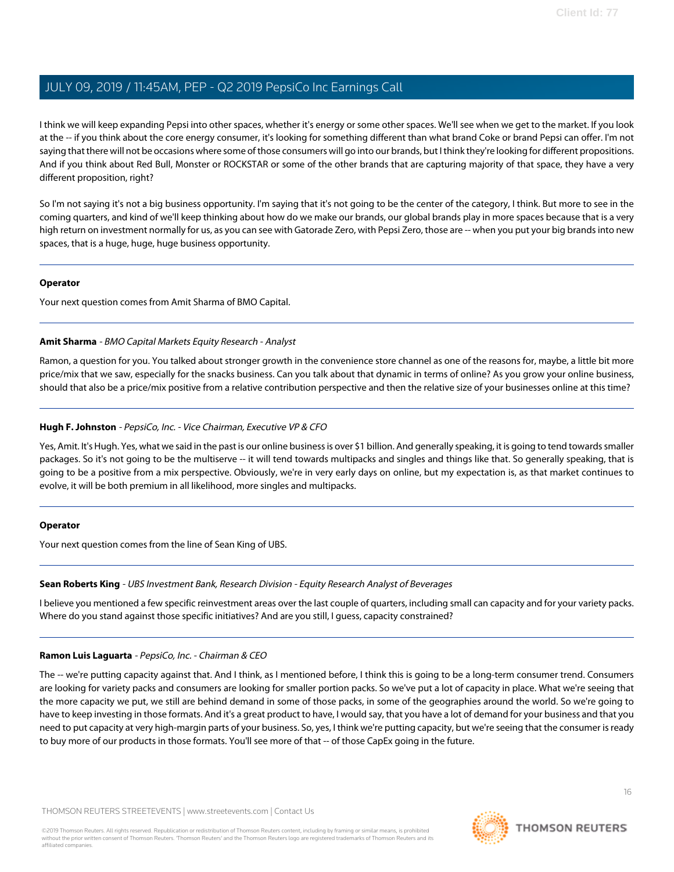I think we will keep expanding Pepsi into other spaces, whether it's energy or some other spaces. We'll see when we get to the market. If you look at the -- if you think about the core energy consumer, it's looking for something different than what brand Coke or brand Pepsi can offer. I'm not saying that there will not be occasions where some of those consumers will go into our brands, but I think they're looking for different propositions. And if you think about Red Bull, Monster or ROCKSTAR or some of the other brands that are capturing majority of that space, they have a very different proposition, right?

So I'm not saying it's not a big business opportunity. I'm saying that it's not going to be the center of the category, I think. But more to see in the coming quarters, and kind of we'll keep thinking about how do we make our brands, our global brands play in more spaces because that is a very high return on investment normally for us, as you can see with Gatorade Zero, with Pepsi Zero, those are -- when you put your big brands into new spaces, that is a huge, huge, huge business opportunity.

#### **Operator**

<span id="page-15-0"></span>Your next question comes from Amit Sharma of BMO Capital.

#### **Amit Sharma** - BMO Capital Markets Equity Research - Analyst

Ramon, a question for you. You talked about stronger growth in the convenience store channel as one of the reasons for, maybe, a little bit more price/mix that we saw, especially for the snacks business. Can you talk about that dynamic in terms of online? As you grow your online business, should that also be a price/mix positive from a relative contribution perspective and then the relative size of your businesses online at this time?

#### **Hugh F. Johnston** - PepsiCo, Inc. - Vice Chairman, Executive VP & CFO

Yes, Amit. It's Hugh. Yes, what we said in the past is our online business is over \$1 billion. And generally speaking, it is going to tend towards smaller packages. So it's not going to be the multiserve -- it will tend towards multipacks and singles and things like that. So generally speaking, that is going to be a positive from a mix perspective. Obviously, we're in very early days on online, but my expectation is, as that market continues to evolve, it will be both premium in all likelihood, more singles and multipacks.

#### <span id="page-15-1"></span>**Operator**

Your next question comes from the line of Sean King of UBS.

### **Sean Roberts King** - UBS Investment Bank, Research Division - Equity Research Analyst of Beverages

I believe you mentioned a few specific reinvestment areas over the last couple of quarters, including small can capacity and for your variety packs. Where do you stand against those specific initiatives? And are you still, I guess, capacity constrained?

## **Ramon Luis Laguarta** - PepsiCo, Inc. - Chairman & CEO

The -- we're putting capacity against that. And I think, as I mentioned before, I think this is going to be a long-term consumer trend. Consumers are looking for variety packs and consumers are looking for smaller portion packs. So we've put a lot of capacity in place. What we're seeing that the more capacity we put, we still are behind demand in some of those packs, in some of the geographies around the world. So we're going to have to keep investing in those formats. And it's a great product to have, I would say, that you have a lot of demand for your business and that you need to put capacity at very high-margin parts of your business. So, yes, I think we're putting capacity, but we're seeing that the consumer is ready to buy more of our products in those formats. You'll see more of that -- of those CapEx going in the future.